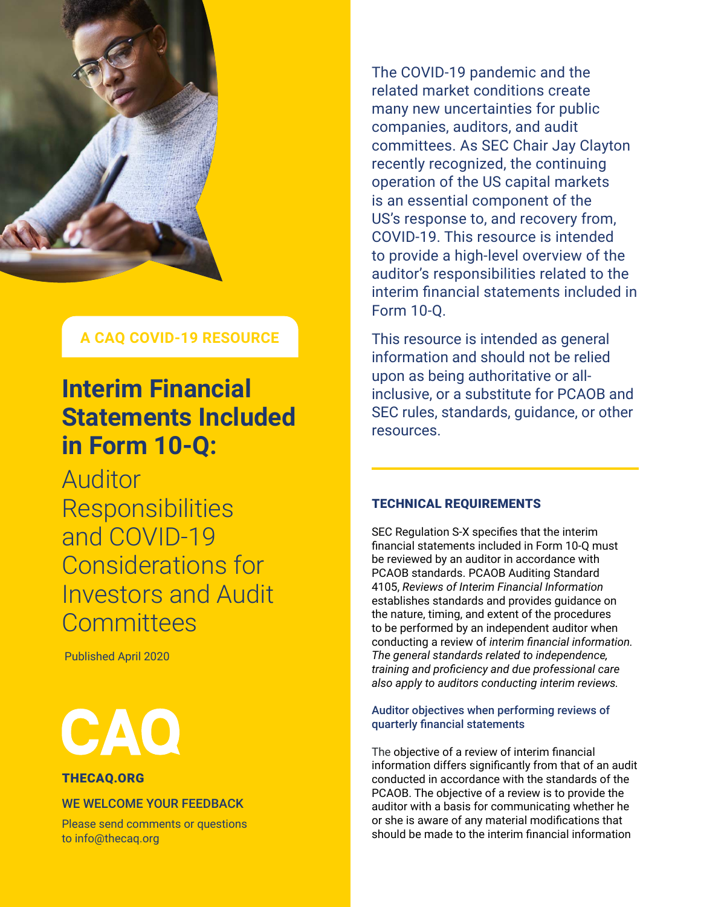

# **A CAQ COVID-19 RESOURCE**

# **Interim Financial Statements Included in Form 10-Q:**

Auditor Responsibilities and COVID-19 Considerations for Investors and Audit **Committees** 

Published April 2020



#### [THECAQ.ORG](http://www.thecaq.org)

### WE WELCOME YOUR FEEDBACK

Please send comments or questions to [info@thecaq.org](mailto:info%40thecaq.org?subject=CAQ%20Publication%20Feedback)

The COVID-19 pandemic and the related market conditions create many new uncertainties for public companies, auditors, and audit committees. As SEC Chair Jay Clayton recently recognized, the continuing operation of the US capital markets is an essential component of the US's response to, and recovery from, COVID-19. This resource is intended to provide a high-level overview of the auditor's responsibilities related to the interim financial statements included in Form 10-Q.

This resource is intended as general information and should not be relied upon as being authoritative or allinclusive, or a substitute for PCAOB and SEC rules, standards, guidance, or other resources.

## TECHNICAL REQUIREMENTS

SEC Regulation S-X specifies that the interim financial statements included in Form 10-Q must be reviewed by an auditor in accordance with PCAOB standards. PCAOB Auditing Standard 4105, *Reviews of Interim Financial Information* establishes standards and provides guidance on the nature, timing, and extent of the procedures to be performed by an independent auditor when conducting a review of *interim financial information. The general standards related to independence, training and proficiency and due professional care also apply to auditors conducting interim reviews.*

#### Auditor objectives when performing reviews of quarterly financial statements

The objective of a review of interim financial information differs significantly from that of an audit conducted in accordance with the standards of the PCAOB. The objective of a review is to provide the auditor with a basis for communicating whether he or she is aware of any material modifications that should be made to the interim financial information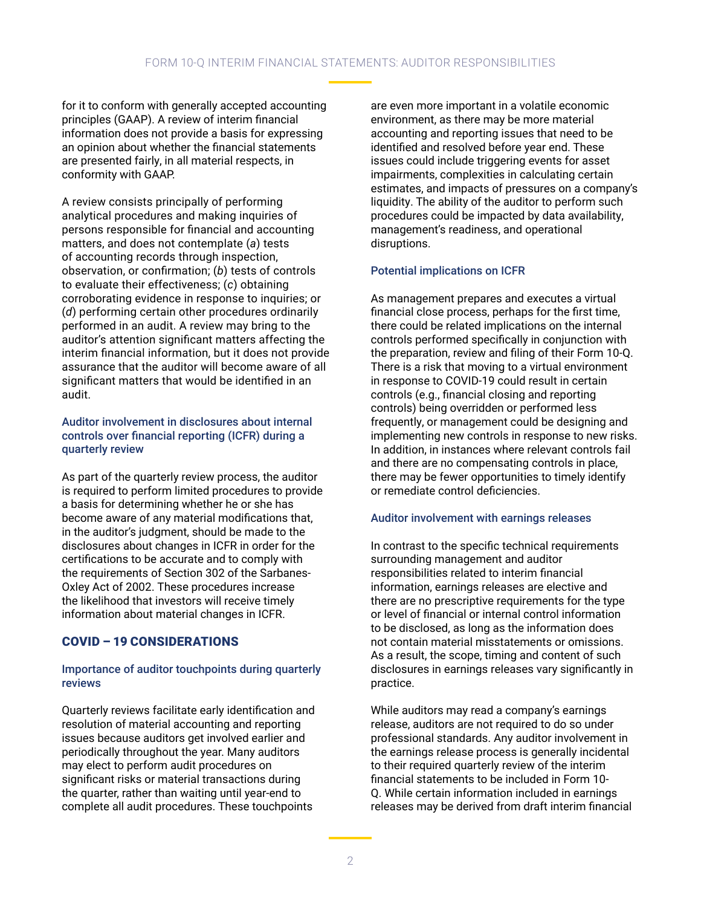for it to conform with generally accepted accounting principles (GAAP). A review of interim financial information does not provide a basis for expressing an opinion about whether the financial statements are presented fairly, in all material respects, in conformity with GAAP.

A review consists principally of performing analytical procedures and making inquiries of persons responsible for financial and accounting matters, and does not contemplate (*a*) tests of accounting records through inspection, observation, or confirmation; (*b*) tests of controls to evaluate their effectiveness; (*c*) obtaining corroborating evidence in response to inquiries; or (*d*) performing certain other procedures ordinarily performed in an audit. A review may bring to the auditor's attention significant matters affecting the interim financial information, but it does not provide assurance that the auditor will become aware of all significant matters that would be identified in an audit.

#### Auditor involvement in disclosures about internal controls over financial reporting (ICFR) during a quarterly review

As part of the quarterly review process, the auditor is required to perform limited procedures to provide a basis for determining whether he or she has become aware of any material modifications that, in the auditor's judgment, should be made to the disclosures about changes in ICFR in order for the certifications to be accurate and to comply with the requirements of Section 302 of the Sarbanes-Oxley Act of 2002. These procedures increase the likelihood that investors will receive timely information about material changes in ICFR.

# COVID – 19 CONSIDERATIONS

#### Importance of auditor touchpoints during quarterly reviews

Quarterly reviews facilitate early identification and resolution of material accounting and reporting issues because auditors get involved earlier and periodically throughout the year. Many auditors may elect to perform audit procedures on significant risks or material transactions during the quarter, rather than waiting until year-end to complete all audit procedures. These touchpoints

are even more important in a volatile economic environment, as there may be more material accounting and reporting issues that need to be identified and resolved before year end. These issues could include triggering events for asset impairments, complexities in calculating certain estimates, and impacts of pressures on a company's liquidity. The ability of the auditor to perform such procedures could be impacted by data availability, management's readiness, and operational disruptions.

# Potential implications on ICFR

As management prepares and executes a virtual financial close process, perhaps for the first time, there could be related implications on the internal controls performed specifically in conjunction with the preparation, review and filing of their Form 10-Q. There is a risk that moving to a virtual environment in response to COVID-19 could result in certain controls (e.g., financial closing and reporting controls) being overridden or performed less frequently, or management could be designing and implementing new controls in response to new risks. In addition, in instances where relevant controls fail and there are no compensating controls in place, there may be fewer opportunities to timely identify or remediate control deficiencies.

#### Auditor involvement with earnings releases

In contrast to the specific technical requirements surrounding management and auditor responsibilities related to interim financial information, earnings releases are elective and there are no prescriptive requirements for the type or level of financial or internal control information to be disclosed, as long as the information does not contain material misstatements or omissions. As a result, the scope, timing and content of such disclosures in earnings releases vary significantly in practice.

While auditors may read a company's earnings release, auditors are not required to do so under professional standards. Any auditor involvement in the earnings release process is generally incidental to their required quarterly review of the interim financial statements to be included in Form 10- Q. While certain information included in earnings releases may be derived from draft interim financial